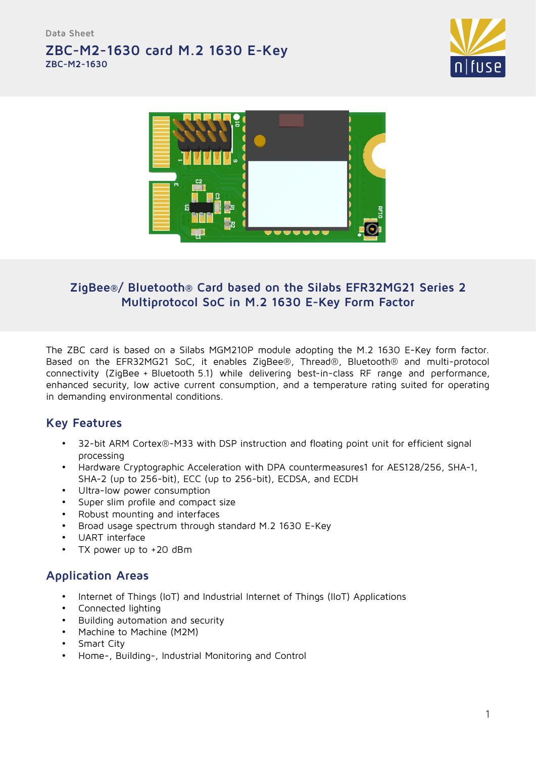**Data Sheet**

# **ZBC-M2-1630 card M.2 1630 E-Key ZBC-M2-1630**





# **ZigBee®/ Bluetooth® Card based on the Silabs EFR32MG21 Series 2 Multiprotocol SoC in M.2 1630 E-Key Form Factor**

The ZBC card is based on a Silabs MGM210P module adopting the M.2 1630 E-Key form factor. Based on the EFR32MG21 SoC, it enables ZigBee®, Thread®, Bluetooth® and multi-protocol connectivity (ZigBee + Bluetooth 5.1) while delivering best-in-class RF range and performance, enhanced security, low active current consumption, and a temperature rating suited for operating in demanding environmental conditions.

## **Key Features**

- 32-bit ARM Cortex®-M33 with DSP instruction and floating point unit for efficient signal processing
- Hardware Cryptographic Acceleration with DPA countermeasures1 for AES128/256, SHA-1, SHA-2 (up to 256-bit), ECC (up to 256-bit), ECDSA, and ECDH
- Ultra-low power consumption
- Super slim profile and compact size
- Robust mounting and interfaces
- Broad usage spectrum through standard M.2 1630 E-Key
- UART interface
- TX power up to +20 dBm

## **Application Areas**

- Internet of Things (IoT) and Industrial Internet of Things (IIoT) Applications
- Connected lighting
- Building automation and security
- Machine to Machine (M2M)
- Smart City
- Home-, Building-, Industrial Monitoring and Control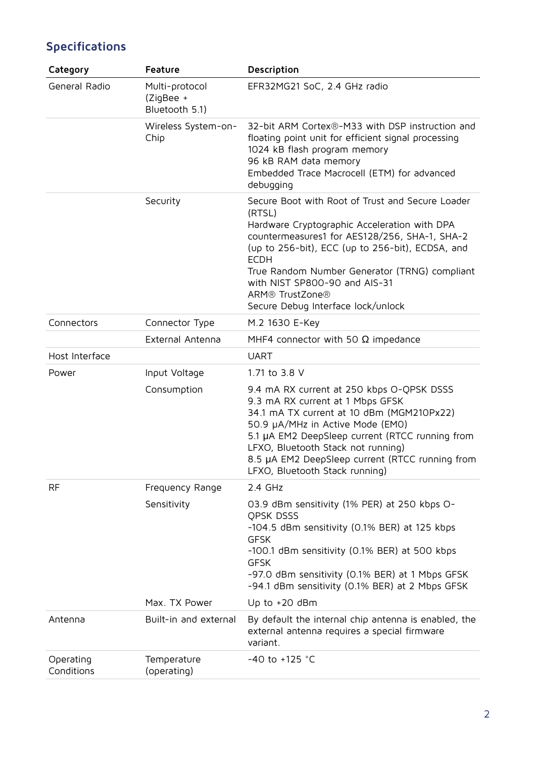| Category                | Feature                                       | Description                                                                                                                                                                                                                                                                                                                                                               |
|-------------------------|-----------------------------------------------|---------------------------------------------------------------------------------------------------------------------------------------------------------------------------------------------------------------------------------------------------------------------------------------------------------------------------------------------------------------------------|
| General Radio           | Multi-protocol<br>(ZigBee +<br>Bluetooth 5.1) | EFR32MG21 SoC, 2.4 GHz radio                                                                                                                                                                                                                                                                                                                                              |
|                         | Wireless System-on-<br>Chip                   | 32-bit ARM Cortex®-M33 with DSP instruction and<br>floating point unit for efficient signal processing<br>1024 kB flash program memory<br>96 kB RAM data memory<br>Embedded Trace Macrocell (ETM) for advanced<br>debugging                                                                                                                                               |
|                         | Security                                      | Secure Boot with Root of Trust and Secure Loader<br>(RTSL)<br>Hardware Cryptographic Acceleration with DPA<br>countermeasures1 for AES128/256, SHA-1, SHA-2<br>(up to 256-bit), ECC (up to 256-bit), ECDSA, and<br><b>ECDH</b><br>True Random Number Generator (TRNG) compliant<br>with NIST SP800-90 and AIS-31<br>ARM® TrustZone®<br>Secure Debug Interface lock/unlock |
| Connectors              | Connector Type                                | M.2 1630 E-Key                                                                                                                                                                                                                                                                                                                                                            |
|                         | External Antenna                              | MHF4 connector with 50 $\Omega$ impedance                                                                                                                                                                                                                                                                                                                                 |
| Host Interface          |                                               | <b>UART</b>                                                                                                                                                                                                                                                                                                                                                               |
| Power                   | Input Voltage                                 | 1.71 to 3.8 V                                                                                                                                                                                                                                                                                                                                                             |
|                         | Consumption                                   | 9.4 mA RX current at 250 kbps O-QPSK DSSS<br>9.3 mA RX current at 1 Mbps GFSK<br>34.1 mA TX current at 10 dBm (MGM210Px22)<br>50.9 µA/MHz in Active Mode (EMO)<br>5.1 µA EM2 DeepSleep current (RTCC running from<br>LFXO, Bluetooth Stack not running)<br>8.5 µA EM2 DeepSleep current (RTCC running from<br>LFXO, Bluetooth Stack running)                              |
| <b>RF</b>               | Frequency Range                               | 2.4 GHz                                                                                                                                                                                                                                                                                                                                                                   |
|                         | Sensitivity                                   | 03.9 dBm sensitivity (1% PER) at 250 kbps O-<br><b>OPSK DSSS</b><br>-104.5 dBm sensitivity (0.1% BER) at 125 kbps<br><b>GFSK</b><br>-100.1 dBm sensitivity (0.1% BER) at 500 kbps<br><b>GFSK</b><br>-97.0 dBm sensitivity (0.1% BER) at 1 Mbps GFSK<br>-94.1 dBm sensitivity (0.1% BER) at 2 Mbps GFSK                                                                    |
|                         | Max. TX Power                                 | Up to $+20$ dBm                                                                                                                                                                                                                                                                                                                                                           |
| Antenna                 | Built-in and external                         | By default the internal chip antenna is enabled, the<br>external antenna requires a special firmware<br>variant.                                                                                                                                                                                                                                                          |
| Operating<br>Conditions | Temperature<br>(operating)                    | -40 to +125 $^{\circ}$ C                                                                                                                                                                                                                                                                                                                                                  |

# **Specifications**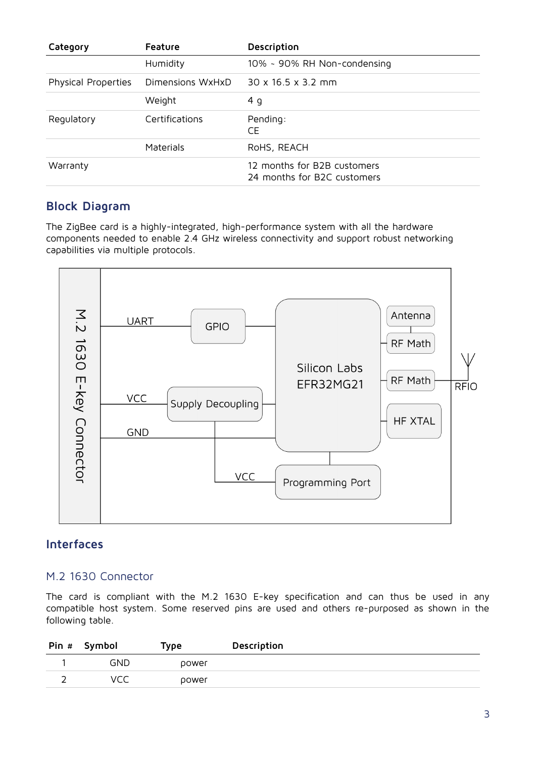| Category            | Feature          | Description                                                |
|---------------------|------------------|------------------------------------------------------------|
|                     | Humidity         | 10% ~ 90% RH Non-condensing                                |
| Physical Properties | Dimensions WxHxD | $30 \times 16.5 \times 3.2$ mm                             |
|                     | Weight           | 4 g                                                        |
| Regulatory          | Certifications   | Pending:<br>CE                                             |
|                     | Materials        | RoHS, REACH                                                |
| Warranty            |                  | 12 months for B2B customers<br>24 months for B2C customers |

## **Block Diagram**

The ZigBee card is a highly-integrated, high-performance system with all the hardware components needed to enable 2.4 GHz wireless connectivity and support robust networking capabilities via multiple protocols.



## **Interfaces**

#### M.2 1630 Connector

The card is compliant with the M.2 1630 E-key specification and can thus be used in any compatible host system. Some reserved pins are used and others re-purposed as shown in the following table.

| Pin # | Symbol | Type  | Description |
|-------|--------|-------|-------------|
|       | GND    | power |             |
| ∽     | VCC    | power |             |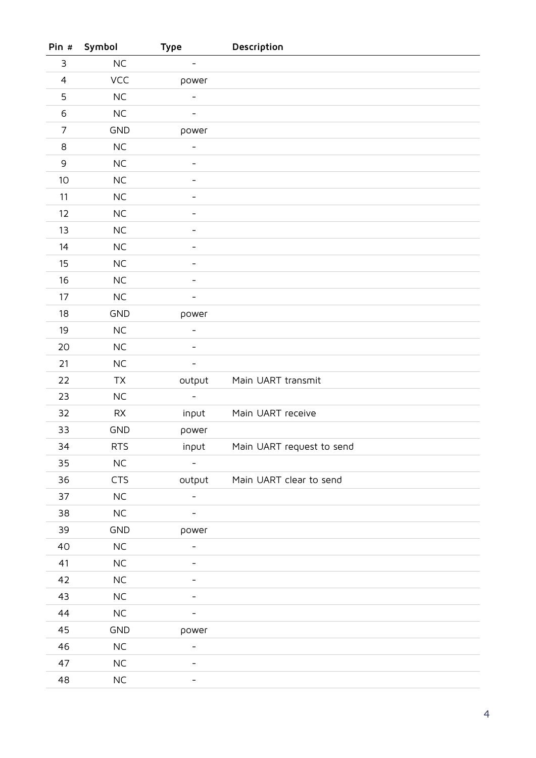| Pin #                     | Symbol     | <b>Type</b>                  | Description               |
|---------------------------|------------|------------------------------|---------------------------|
| $\ensuremath{\mathsf{3}}$ | $\sf NC$   | $\qquad \qquad -$            |                           |
| $\overline{4}$            | VCC        | power                        |                           |
| $\mathsf S$               | $NC$       | $\qquad \qquad -$            |                           |
| 6                         | NC         |                              |                           |
| $\overline{7}$            | <b>GND</b> | power                        |                           |
| 8                         | NC         | $\overline{\phantom{0}}$     |                           |
| $\mathsf 9$               | NC         | $\qquad \qquad \blacksquare$ |                           |
| 10                        | NC         | -                            |                           |
| 11                        | NC         |                              |                           |
| 12                        | NC         |                              |                           |
| 13                        | $NC$       |                              |                           |
| 14                        | $NC$       |                              |                           |
| 15                        | $NC$       |                              |                           |
| 16                        | $NC$       | $\qquad \qquad \blacksquare$ |                           |
| 17                        | NC         | $\overline{\phantom{0}}$     |                           |
| 18                        | <b>GND</b> | power                        |                           |
| 19                        | $NC$       | $\overline{\phantom{a}}$     |                           |
| 20                        | $NC$       |                              |                           |
| 21                        | NC         | -                            |                           |
| 22                        | TX         | output                       | Main UART transmit        |
| 23                        | $NC$       | $\overline{\phantom{a}}$     |                           |
| 32                        | ${\sf RX}$ | input                        | Main UART receive         |
| 33                        | <b>GND</b> | power                        |                           |
| 34                        | <b>RTS</b> | input                        | Main UART request to send |
| 35                        | $\sf NC$   |                              |                           |
| 36                        | <b>CTS</b> | output                       | Main UART clear to send   |
| 37                        | $NC$       | $\overline{\phantom{0}}$     |                           |
| 38                        | $\sf NC$   |                              |                           |
| 39                        | <b>GND</b> | power                        |                           |
| 40                        | $NC$       | $\overline{\phantom{0}}$     |                           |
| 41                        | $NC$       |                              |                           |
| 42                        | $NC$       | -                            |                           |
| 43                        | $NC$       |                              |                           |
| 44                        | ${\sf NC}$ |                              |                           |
| 45                        | GND        | power                        |                           |
| 46                        | $NC$       |                              |                           |
| 47                        | $NC$       |                              |                           |
| 48                        | ${\sf NC}$ |                              |                           |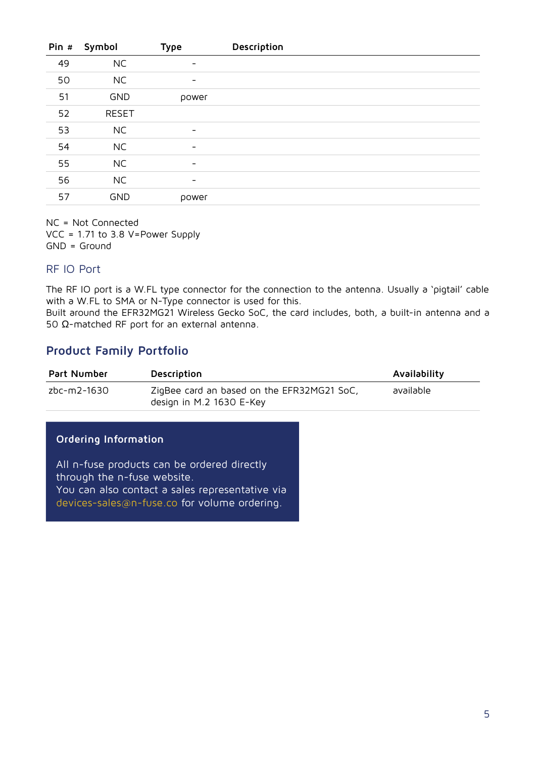| Pin # | Symbol       | <b>Type</b>              | Description |
|-------|--------------|--------------------------|-------------|
| 49    | <b>NC</b>    | -                        |             |
| 50    | <b>NC</b>    | $\overline{\phantom{a}}$ |             |
| 51    | <b>GND</b>   | power                    |             |
| 52    | <b>RESET</b> |                          |             |
| 53    | <b>NC</b>    | $\overline{\phantom{0}}$ |             |
| 54    | <b>NC</b>    | $\overline{\phantom{0}}$ |             |
| 55    | <b>NC</b>    | $\overline{\phantom{a}}$ |             |
| 56    | <b>NC</b>    | -                        |             |
| 57    | <b>GND</b>   | power                    |             |

NC = Not Connected VCC = 1.71 to 3.8 V=Power Supply GND = Ground

#### RF IO Port

The RF IO port is a W.FL type connector for the connection to the antenna. Usually a 'pigtail' cable with a W.FL to SMA or N-Type connector is used for this.

Built around the EFR32MG21 Wireless Gecko SoC, the card includes, both, a built-in antenna and a 50 Ω-matched RF port for an external antenna.

## **Product Family Portfolio**

| <b>Part Number</b> | Description                                                            | Availability |
|--------------------|------------------------------------------------------------------------|--------------|
| zbc-m2-1630        | ZigBee card an based on the EFR32MG21 SoC,<br>design in M.2 1630 E-Key | available    |

### **Ordering Information**

All n-fuse products can be ordered directly through the n-fuse website. You can also contact a sales representative via devices-sales@n-fuse.co for volume ordering.